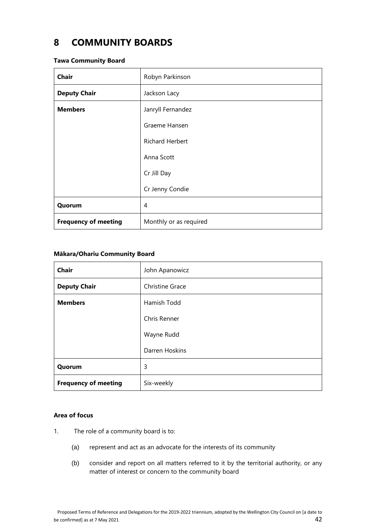# **8 COMMUNITY BOARDS**

#### **Tawa Community Board**

| <b>Chair</b>                | Robyn Parkinson        |
|-----------------------------|------------------------|
| <b>Deputy Chair</b>         | Jackson Lacy           |
| <b>Members</b>              | Janryll Fernandez      |
|                             | Graeme Hansen          |
|                             | <b>Richard Herbert</b> |
|                             | Anna Scott             |
|                             | Cr Jill Day            |
|                             | Cr Jenny Condie        |
| Quorum                      | 4                      |
| <b>Frequency of meeting</b> | Monthly or as required |

## **Mākara/Ohariu Community Board**

| <b>Chair</b>                | John Apanowicz  |
|-----------------------------|-----------------|
| <b>Deputy Chair</b>         | Christine Grace |
| <b>Members</b>              | Hamish Todd     |
|                             | Chris Renner    |
|                             | Wayne Rudd      |
|                             | Darren Hoskins  |
| Quorum                      | 3               |
| <b>Frequency of meeting</b> | Six-weekly      |

## **Area of focus**

- 1. The role of a community board is to:
	- (a) represent and act as an advocate for the interests of its community
	- (b) consider and report on all matters referred to it by the territorial authority, or any matter of interest or concern to the community board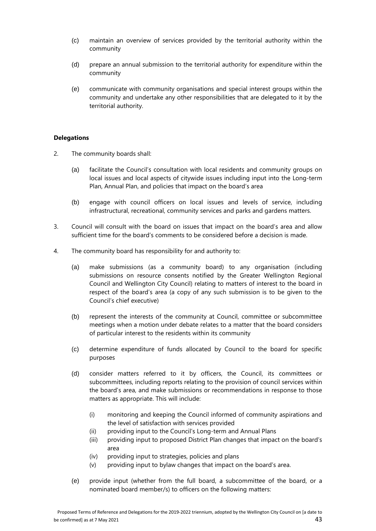- (c) maintain an overview of services provided by the territorial authority within the community
- (d) prepare an annual submission to the territorial authority for expenditure within the community
- (e) communicate with community organisations and special interest groups within the community and undertake any other responsibilities that are delegated to it by the territorial authority.

## **Delegations**

- 2. The community boards shall:
	- (a) facilitate the Council's consultation with local residents and community groups on local issues and local aspects of citywide issues including input into the Long-term Plan, Annual Plan, and policies that impact on the board's area
	- (b) engage with council officers on local issues and levels of service, including infrastructural, recreational, community services and parks and gardens matters.
- 3. Council will consult with the board on issues that impact on the board's area and allow sufficient time for the board's comments to be considered before a decision is made.
- 4. The community board has responsibility for and authority to:
	- (a) make submissions (as a community board) to any organisation (including submissions on resource consents notified by the Greater Wellington Regional Council and Wellington City Council) relating to matters of interest to the board in respect of the board's area (a copy of any such submission is to be given to the Council's chief executive)
	- (b) represent the interests of the community at Council, committee or subcommittee meetings when a motion under debate relates to a matter that the board considers of particular interest to the residents within its community
	- (c) determine expenditure of funds allocated by Council to the board for specific purposes
	- (d) consider matters referred to it by officers, the Council, its committees or subcommittees, including reports relating to the provision of council services within the board's area, and make submissions or recommendations in response to those matters as appropriate. This will include:
		- (i) monitoring and keeping the Council informed of community aspirations and the level of satisfaction with services provided
		- (ii) providing input to the Council's Long-term and Annual Plans
		- (iii) providing input to proposed District Plan changes that impact on the board's area
		- (iv) providing input to strategies, policies and plans
		- (v) providing input to bylaw changes that impact on the board's area.
	- (e) provide input (whether from the full board, a subcommittee of the board, or a nominated board member/s) to officers on the following matters: